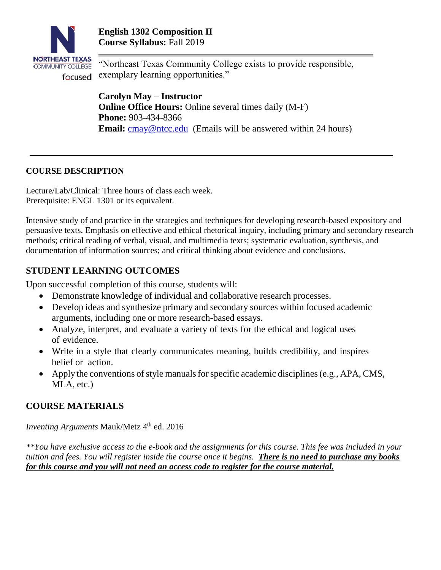

"Northeast Texas Community College exists to provide responsible, exemplary learning opportunities."

**Carolyn May – Instructor Online Office Hours:** Online several times daily (M-F) **Phone:** 903-434-8366 **Email:** [cmay@ntcc.edu](mailto:cmay@ntcc.edu) (Emails will be answered within 24 hours)

## **COURSE DESCRIPTION**

Lecture/Lab/Clinical: Three hours of class each week. Prerequisite: ENGL 1301 or its equivalent.

Intensive study of and practice in the strategies and techniques for developing research-based expository and persuasive texts. Emphasis on effective and ethical rhetorical inquiry, including primary and secondary research methods; critical reading of verbal, visual, and multimedia texts; systematic evaluation, synthesis, and documentation of information sources; and critical thinking about evidence and conclusions.

# **STUDENT LEARNING OUTCOMES**

Upon successful completion of this course, students will:

- Demonstrate knowledge of individual and collaborative research processes.
- Develop ideas and synthesize primary and secondary sources within focused academic arguments, including one or more research-based essays.
- Analyze, interpret, and evaluate a variety of texts for the ethical and logical uses of evidence.
- Write in a style that clearly communicates meaning, builds credibility, and inspires belief or action.
- Apply the conventions of style manuals for specific academic disciplines (e.g., APA, CMS, MLA, etc.)

# **COURSE MATERIALS**

*Inventing Arguments* Mauk/Metz 4 th ed. 2016

*\*\*You have exclusive access to the e-book and the assignments for this course. This fee was included in your tuition and fees. You will register inside the course once it begins. There is no need to purchase any books for this course and you will not need an access code to register for the course material.*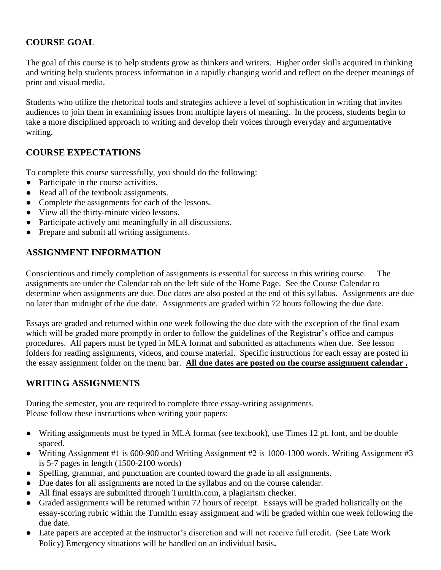# **COURSE GOAL**

The goal of this course is to help students grow as thinkers and writers. Higher order skills acquired in thinking and writing help students process information in a rapidly changing world and reflect on the deeper meanings of print and visual media.

Students who utilize the rhetorical tools and strategies achieve a level of sophistication in writing that invites audiences to join them in examining issues from multiple layers of meaning. In the process, students begin to take a more disciplined approach to writing and develop their voices through everyday and argumentative writing.

# **COURSE EXPECTATIONS**

To complete this course successfully, you should do the following:

- Participate in the course activities.
- Read all of the textbook assignments.
- Complete the assignments for each of the lessons.
- View all the thirty-minute video lessons.
- Participate actively and meaningfully in all discussions.
- Prepare and submit all writing assignments.

# **ASSIGNMENT INFORMATION**

Conscientious and timely completion of assignments is essential for success in this writing course. The assignments are under the Calendar tab on the left side of the Home Page. See the Course Calendar to determine when assignments are due. Due dates are also posted at the end of this syllabus. Assignments are due no later than midnight of the due date. Assignments are graded within 72 hours following the due date.

Essays are graded and returned within one week following the due date with the exception of the final exam which will be graded more promptly in order to follow the guidelines of the Registrar's office and campus procedures. All papers must be typed in MLA format and submitted as attachments when due. See lesson folders for reading assignments, videos, and course material. Specific instructions for each essay are posted in the essay assignment folder on the menu bar. **All due dates are posted on the course assignment calendar .** 

# **WRITING ASSIGNMENTS**

During the semester, you are required to complete three essay-writing assignments. Please follow these instructions when writing your papers:

- Writing assignments must be typed in MLA format (see textbook), use Times 12 pt. font, and be double spaced.
- Writing Assignment #1 is 600-900 and Writing Assignment #2 is 1000-1300 words. Writing Assignment #3 is 5-7 pages in length (1500-2100 words)
- Spelling, grammar, and punctuation are counted toward the grade in all assignments.
- Due dates for all assignments are noted in the syllabus and on the course calendar.
- All final essays are submitted through TurnItIn.com, a plagiarism checker.
- Graded assignments will be returned within 72 hours of receipt. Essays will be graded holistically on the essay-scoring rubric within the TurnItIn essay assignment and will be graded within one week following the due date.
- Late papers are accepted at the instructor's discretion and will not receive full credit. (See Late Work Policy) Emergency situations will be handled on an individual basis**.**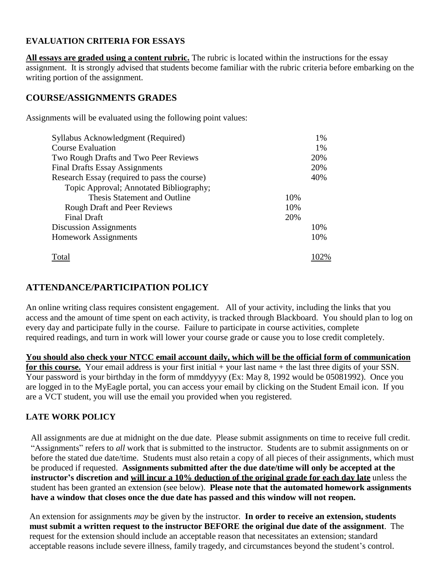### **EVALUATION CRITERIA FOR ESSAYS**

**All essays are graded using a content rubric.** The rubric is located within the instructions for the essay assignment. It is strongly advised that students become familiar with the rubric criteria before embarking on the writing portion of the assignment.

## **COURSE/ASSIGNMENTS GRADES**

Assignments will be evaluated using the following point values:

| Syllabus Acknowledgment (Required)           | 1%   |  |
|----------------------------------------------|------|--|
| <b>Course Evaluation</b>                     | 1%   |  |
| Two Rough Drafts and Two Peer Reviews        | 20%  |  |
| <b>Final Drafts Essay Assignments</b>        | 20%  |  |
| Research Essay (required to pass the course) | 40%  |  |
| Topic Approval; Annotated Bibliography;      |      |  |
| Thesis Statement and Outline                 | 10%  |  |
| <b>Rough Draft and Peer Reviews</b>          | 10%  |  |
| <b>Final Draft</b>                           | 20%  |  |
| Discussion Assignments                       | 10%  |  |
| Homework Assignments                         | 10%  |  |
| Total                                        | 102% |  |

## **ATTENDANCE/PARTICIPATION POLICY**

An online writing class requires consistent engagement. All of your activity, including the links that you access and the amount of time spent on each activity, is tracked through Blackboard. You should plan to log on every day and participate fully in the course. Failure to participate in course activities, complete required readings, and turn in work will lower your course grade or cause you to lose credit completely.

**You should also check your NTCC email account daily, which will be the official form of communication for this course.** Your email address is your first initial + your last name + the last three digits of your SSN. Your password is your birthday in the form of mmddyyyy (Ex: May 8, 1992 would be 05081992). Once you are logged in to the MyEagle portal, you can access your email by clicking on the Student Email icon. If you are a VCT student, you will use the email you provided when you registered.

### **LATE WORK POLICY**

All assignments are due at midnight on the due date. Please submit assignments on time to receive full credit. "Assignments" refers to *all* work that is submitted to the instructor. Students are to submit assignments on or before the stated due date/time. Students must also retain a copy of all pieces of their assignments, which must be produced if requested. **Assignments submitted after the due date/time will only be accepted at the instructor's discretion and will incur a 10% deduction of the original grade for each day late** unless the student has been granted an extension (see below). **Please note that the automated homework assignments have a window that closes once the due date has passed and this window will not reopen.**

An extension for assignments *may* be given by the instructor. **In order to receive an extension, students must submit a written request to the instructor BEFORE the original due date of the assignment**. The request for the extension should include an acceptable reason that necessitates an extension; standard acceptable reasons include severe illness, family tragedy, and circumstances beyond the student's control.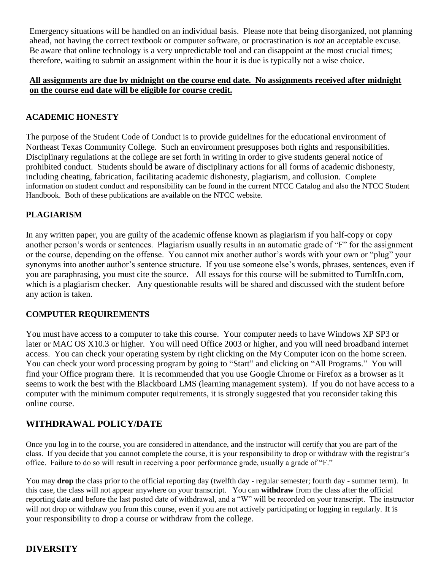Emergency situations will be handled on an individual basis. Please note that being disorganized, not planning ahead, not having the correct textbook or computer software, or procrastination is *not* an acceptable excuse. Be aware that online technology is a very unpredictable tool and can disappoint at the most crucial times; therefore, waiting to submit an assignment within the hour it is due is typically not a wise choice.

#### **All assignments are due by midnight on the course end date. No assignments received after midnight on the course end date will be eligible for course credit.**

## **ACADEMIC HONESTY**

The purpose of the Student Code of Conduct is to provide guidelines for the educational environment of Northeast Texas Community College. Such an environment presupposes both rights and responsibilities. Disciplinary regulations at the college are set forth in writing in order to give students general notice of prohibited conduct. Students should be aware of disciplinary actions for all forms of academic dishonesty, including cheating, fabrication, facilitating academic dishonesty, plagiarism, and collusion. Complete information on student conduct and responsibility can be found in the current NTCC Catalog and also the NTCC Student Handbook. Both of these publications are available on the NTCC website.

## **PLAGIARISM**

In any written paper, you are guilty of the academic offense known as plagiarism if you half-copy or copy another person's words or sentences. Plagiarism usually results in an automatic grade of "F" for the assignment or the course, depending on the offense. You cannot mix another author's words with your own or "plug" your synonyms into another author's sentence structure. If you use someone else's words, phrases, sentences, even if you are paraphrasing, you must cite the source. All essays for this course will be submitted to TurnItIn.com, which is a plagiarism checker. Any questionable results will be shared and discussed with the student before any action is taken.

### **COMPUTER REQUIREMENTS**

You must have access to a computer to take this course. Your computer needs to have Windows XP SP3 or later or MAC OS X10.3 or higher. You will need Office 2003 or higher, and you will need broadband internet access. You can check your operating system by right clicking on the My Computer icon on the home screen. You can check your word processing program by going to "Start" and clicking on "All Programs." You will find your Office program there. It is recommended that you use Google Chrome or Firefox as a browser as it seems to work the best with the Blackboard LMS (learning management system). If you do not have access to a computer with the minimum computer requirements, it is strongly suggested that you reconsider taking this online course.

## **WITHDRAWAL POLICY/DATE**

Once you log in to the course, you are considered in attendance, and the instructor will certify that you are part of the class. If you decide that you cannot complete the course, it is your responsibility to drop or withdraw with the registrar's office. Failure to do so will result in receiving a poor performance grade, usually a grade of "F."

You may **drop** the class prior to the official reporting day (twelfth day - regular semester; fourth day - summer term). In this case, the class will not appear anywhere on your transcript. You can **withdraw** from the class after the official reporting date and before the last posted date of withdrawal, and a "W" will be recorded on your transcript. The instructor will not drop or withdraw you from this course, even if you are not actively participating or logging in regularly. It is your responsibility to drop a course or withdraw from the college.

## **DIVERSITY**